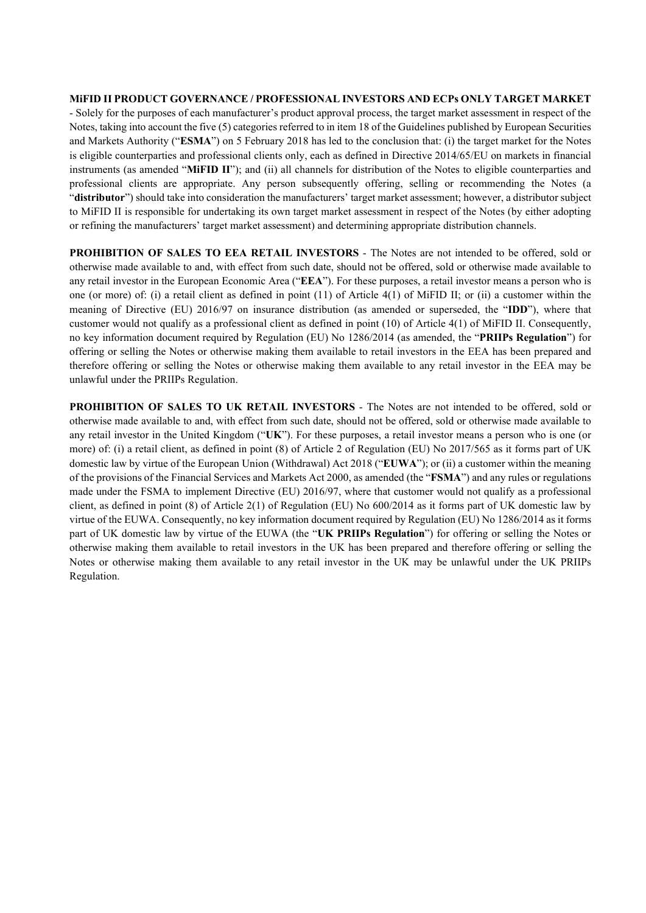# **MiFID II PRODUCT GOVERNANCE / PROFESSIONAL INVESTORS AND ECPs ONLY TARGET MARKET** - Solely for the purposes of each manufacturer's product approval process, the target market assessment in respect of the

Notes, taking into account the five (5) categories referred to in item 18 of the Guidelines published by European Securities and Markets Authority ("**ESMA**") on 5 February 2018 has led to the conclusion that: (i) the target market for the Notes is eligible counterparties and professional clients only, each as defined in Directive 2014/65/EU on markets in financial instruments (as amended "**MiFID II**"); and (ii) all channels for distribution of the Notes to eligible counterparties and professional clients are appropriate. Any person subsequently offering, selling or recommending the Notes (a "**distributor**") should take into consideration the manufacturers' target market assessment; however, a distributor subject to MiFID II is responsible for undertaking its own target market assessment in respect of the Notes (by either adopting or refining the manufacturers' target market assessment) and determining appropriate distribution channels.

**PROHIBITION OF SALES TO EEA RETAIL INVESTORS** - The Notes are not intended to be offered, sold or otherwise made available to and, with effect from such date, should not be offered, sold or otherwise made available to any retail investor in the European Economic Area ("**EEA**"). For these purposes, a retail investor means a person who is one (or more) of: (i) a retail client as defined in point (11) of Article 4(1) of MiFID II; or (ii) a customer within the meaning of Directive (EU) 2016/97 on insurance distribution (as amended or superseded, the "**IDD**"), where that customer would not qualify as a professional client as defined in point (10) of Article 4(1) of MiFID II. Consequently, no key information document required by Regulation (EU) No 1286/2014 (as amended, the "**PRIIPs Regulation**") for offering or selling the Notes or otherwise making them available to retail investors in the EEA has been prepared and therefore offering or selling the Notes or otherwise making them available to any retail investor in the EEA may be unlawful under the PRIIPs Regulation.

**PROHIBITION OF SALES TO UK RETAIL INVESTORS** - The Notes are not intended to be offered, sold or otherwise made available to and, with effect from such date, should not be offered, sold or otherwise made available to any retail investor in the United Kingdom ("**UK**"). For these purposes, a retail investor means a person who is one (or more) of: (i) a retail client, as defined in point (8) of Article 2 of Regulation (EU) No 2017/565 as it forms part of UK domestic law by virtue of the European Union (Withdrawal) Act 2018 ("**EUWA**"); or (ii) a customer within the meaning of the provisions of the Financial Services and Markets Act 2000, as amended (the "**FSMA**") and any rules or regulations made under the FSMA to implement Directive (EU) 2016/97, where that customer would not qualify as a professional client, as defined in point (8) of Article 2(1) of Regulation (EU) No 600/2014 as it forms part of UK domestic law by virtue of the EUWA. Consequently, no key information document required by Regulation (EU) No 1286/2014 as it forms part of UK domestic law by virtue of the EUWA (the "**UK PRIIPs Regulation**") for offering or selling the Notes or otherwise making them available to retail investors in the UK has been prepared and therefore offering or selling the Notes or otherwise making them available to any retail investor in the UK may be unlawful under the UK PRIIPs Regulation.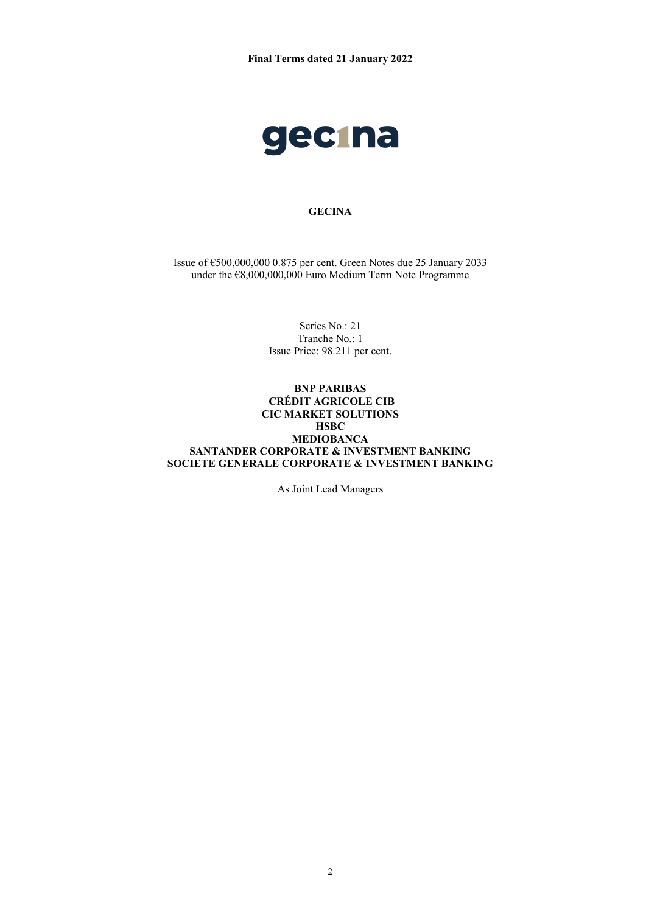

# **GECINA**

Issue of €500,000,000 0.875 per cent. Green Notes due 25 January 2033 under the €8,000,000,000 Euro Medium Term Note Programme

> Series No.: 21 Tranche No.: 1 Issue Price: 98.211 per cent.

### **BNP PARIBAS CRÉDIT AGRICOLE CIB CIC MARKET SOLUTIONS HSBC MEDIOBANCA SANTANDER CORPORATE & INVESTMENT BANKING SOCIETE GENERALE CORPORATE & INVESTMENT BANKING**

As Joint Lead Managers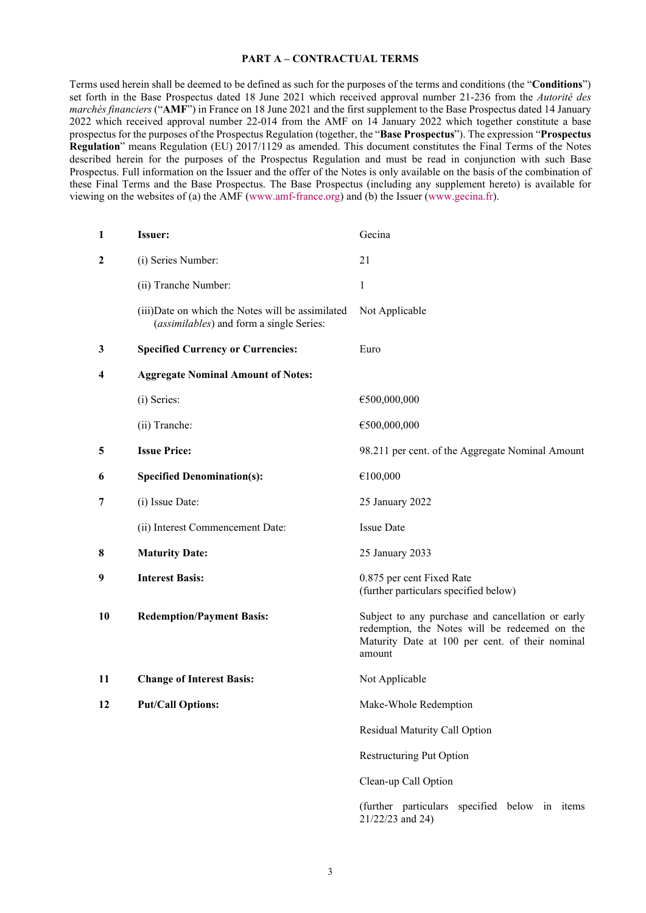#### **PART A – CONTRACTUAL TERMS**

Terms used herein shall be deemed to be defined as such for the purposes of the terms and conditions (the "**Conditions**") set forth in the Base Prospectus dated 18 June 2021 which received approval number 21-236 from the *Autorité des marchés financiers* ("**AMF**") in France on 18 June 2021 and the first supplement to the Base Prospectus dated 14 January 2022 which received approval number 22-014 from the AMF on 14 January 2022 which together constitute a base prospectus for the purposes of the Prospectus Regulation (together, the "**Base Prospectus**"). The expression "**Prospectus Regulation**" means Regulation (EU) 2017/1129 as amended. This document constitutes the Final Terms of the Notes described herein for the purposes of the Prospectus Regulation and must be read in conjunction with such Base Prospectus. Full information on the Issuer and the offer of the Notes is only available on the basis of the combination of these Final Terms and the Base Prospectus. The Base Prospectus (including any supplement hereto) is available for viewing on the websites of (a) the AMF [\(www.amf-france.org\)](http://www.amf-france.org/) and (b) the Issuer [\(www.gecina.fr\)](http://www.gecina.fr/).

| 1            | <b>Issuer:</b>                                                                                | Gecina                                                                                                                                                          |
|--------------|-----------------------------------------------------------------------------------------------|-----------------------------------------------------------------------------------------------------------------------------------------------------------------|
| $\mathbf{2}$ | (i) Series Number:                                                                            | 21                                                                                                                                                              |
|              | (ii) Tranche Number:                                                                          | 1                                                                                                                                                               |
|              | (iii) Date on which the Notes will be assimilated<br>(assimilables) and form a single Series: | Not Applicable                                                                                                                                                  |
| 3            | <b>Specified Currency or Currencies:</b>                                                      | Euro                                                                                                                                                            |
| 4            | <b>Aggregate Nominal Amount of Notes:</b>                                                     |                                                                                                                                                                 |
|              | (i) Series:                                                                                   | €500,000,000                                                                                                                                                    |
|              | (ii) Tranche:                                                                                 | €500,000,000                                                                                                                                                    |
| 5            | <b>Issue Price:</b>                                                                           | 98.211 per cent. of the Aggregate Nominal Amount                                                                                                                |
| 6            | <b>Specified Denomination(s):</b>                                                             | €100,000                                                                                                                                                        |
| 7            | (i) Issue Date:                                                                               | 25 January 2022                                                                                                                                                 |
|              | (ii) Interest Commencement Date:                                                              | <b>Issue Date</b>                                                                                                                                               |
| 8            | <b>Maturity Date:</b>                                                                         | 25 January 2033                                                                                                                                                 |
| 9            | <b>Interest Basis:</b>                                                                        | 0.875 per cent Fixed Rate<br>(further particulars specified below)                                                                                              |
| 10           | <b>Redemption/Payment Basis:</b>                                                              | Subject to any purchase and cancellation or early<br>redemption, the Notes will be redeemed on the<br>Maturity Date at 100 per cent. of their nominal<br>amount |
| 11           | <b>Change of Interest Basis:</b>                                                              | Not Applicable                                                                                                                                                  |
| 12           | <b>Put/Call Options:</b>                                                                      | Make-Whole Redemption                                                                                                                                           |
|              |                                                                                               | Residual Maturity Call Option                                                                                                                                   |
|              |                                                                                               | <b>Restructuring Put Option</b>                                                                                                                                 |
|              |                                                                                               | Clean-up Call Option                                                                                                                                            |
|              |                                                                                               | (further particulars specified below in items                                                                                                                   |

21/22/23 and 24)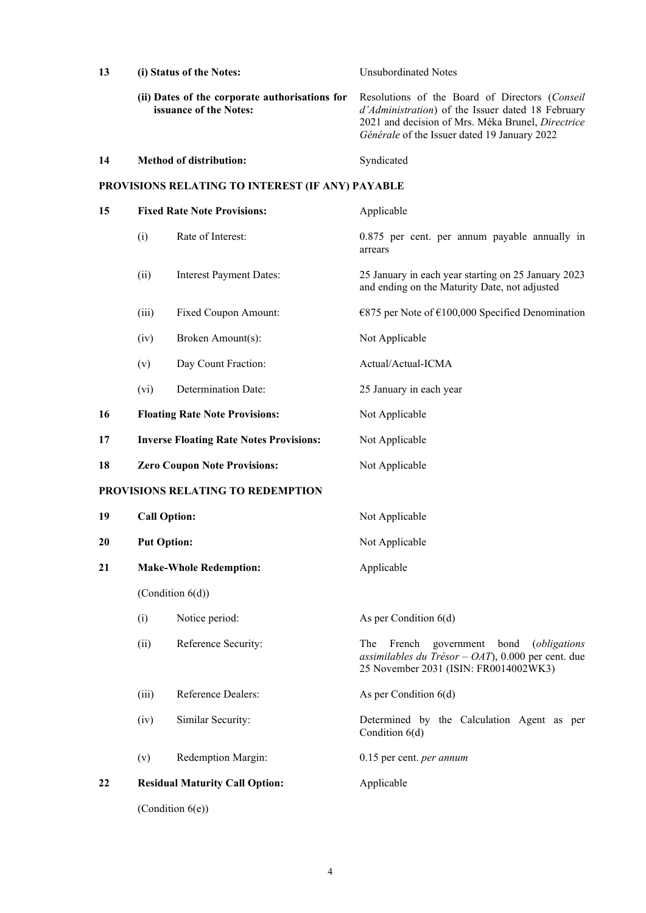| 13                                |                                                  | (i) Status of the Notes:                                                 | <b>Unsubordinated Notes</b>                                                                                                                                                                              |  |
|-----------------------------------|--------------------------------------------------|--------------------------------------------------------------------------|----------------------------------------------------------------------------------------------------------------------------------------------------------------------------------------------------------|--|
|                                   |                                                  | (ii) Dates of the corporate authorisations for<br>issuance of the Notes: | Resolutions of the Board of Directors (Conseil<br>d'Administration) of the Issuer dated 18 February<br>2021 and decision of Mrs. Méka Brunel, Directrice<br>Générale of the Issuer dated 19 January 2022 |  |
| 14                                |                                                  | <b>Method of distribution:</b>                                           | Syndicated                                                                                                                                                                                               |  |
|                                   | PROVISIONS RELATING TO INTEREST (IF ANY) PAYABLE |                                                                          |                                                                                                                                                                                                          |  |
| 15                                | <b>Fixed Rate Note Provisions:</b>               |                                                                          | Applicable                                                                                                                                                                                               |  |
|                                   | (i)                                              | Rate of Interest:                                                        | 0.875 per cent. per annum payable annually in<br>arrears                                                                                                                                                 |  |
|                                   | (ii)                                             | <b>Interest Payment Dates:</b>                                           | 25 January in each year starting on 25 January 2023<br>and ending on the Maturity Date, not adjusted                                                                                                     |  |
|                                   | (iii)                                            | Fixed Coupon Amount:                                                     | €875 per Note of €100,000 Specified Denomination                                                                                                                                                         |  |
|                                   | (iv)                                             | Broken Amount(s):                                                        | Not Applicable                                                                                                                                                                                           |  |
|                                   | (v)                                              | Day Count Fraction:                                                      | Actual/Actual-ICMA                                                                                                                                                                                       |  |
|                                   | (vi)                                             | Determination Date:                                                      | 25 January in each year                                                                                                                                                                                  |  |
| 16                                |                                                  | <b>Floating Rate Note Provisions:</b>                                    | Not Applicable                                                                                                                                                                                           |  |
| 17                                |                                                  | <b>Inverse Floating Rate Notes Provisions:</b>                           | Not Applicable                                                                                                                                                                                           |  |
| 18                                |                                                  | <b>Zero Coupon Note Provisions:</b>                                      | Not Applicable                                                                                                                                                                                           |  |
| PROVISIONS RELATING TO REDEMPTION |                                                  |                                                                          |                                                                                                                                                                                                          |  |
| 19                                | <b>Call Option:</b>                              |                                                                          | Not Applicable                                                                                                                                                                                           |  |
| 20                                | <b>Put Option:</b>                               |                                                                          | Not Applicable                                                                                                                                                                                           |  |
| 21                                |                                                  | <b>Make-Whole Redemption:</b>                                            | Applicable                                                                                                                                                                                               |  |
|                                   | (Condition 6(d))                                 |                                                                          |                                                                                                                                                                                                          |  |
|                                   | (i)                                              | Notice period:                                                           | As per Condition $6(d)$                                                                                                                                                                                  |  |
|                                   | (ii)                                             | Reference Security:                                                      | The<br>French<br>government<br>bond<br><i>(obligations</i><br>assimilables du Trésor - OAT), 0.000 per cent. due<br>25 November 2031 (ISIN: FR0014002WK3)                                                |  |
|                                   | (iii)                                            | Reference Dealers:                                                       | As per Condition $6(d)$                                                                                                                                                                                  |  |
|                                   | (iv)                                             | Similar Security:                                                        | Determined by the Calculation Agent as per<br>Condition 6(d)                                                                                                                                             |  |
|                                   | (v)                                              | Redemption Margin:                                                       | 0.15 per cent. <i>per annum</i>                                                                                                                                                                          |  |
| 22                                |                                                  | <b>Residual Maturity Call Option:</b>                                    | Applicable                                                                                                                                                                                               |  |
|                                   | (Condition $6(e)$ )                              |                                                                          |                                                                                                                                                                                                          |  |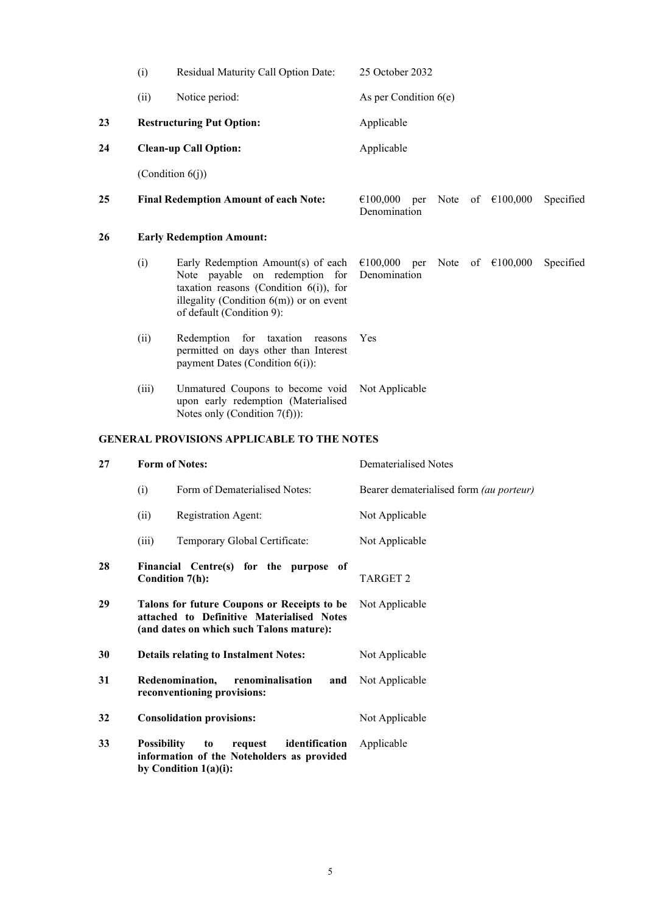|                                                   | (i)                             | Residual Maturity Call Option Date:                                                                                                                                                          | 25 October 2032                                                            |
|---------------------------------------------------|---------------------------------|----------------------------------------------------------------------------------------------------------------------------------------------------------------------------------------------|----------------------------------------------------------------------------|
|                                                   | (ii)                            | Notice period:                                                                                                                                                                               | As per Condition $6(e)$                                                    |
| 23                                                |                                 | <b>Restructuring Put Option:</b>                                                                                                                                                             | Applicable                                                                 |
| 24                                                |                                 | <b>Clean-up Call Option:</b>                                                                                                                                                                 | Applicable                                                                 |
|                                                   |                                 | (Condition $6(j)$ )                                                                                                                                                                          |                                                                            |
| 25                                                |                                 | <b>Final Redemption Amount of each Note:</b>                                                                                                                                                 | €100,000<br>Note of $\epsilon$ 100,000<br>Specified<br>per<br>Denomination |
| 26                                                | <b>Early Redemption Amount:</b> |                                                                                                                                                                                              |                                                                            |
|                                                   | (i)                             | Early Redemption Amount(s) of each<br>Note payable on redemption for<br>taxation reasons (Condition $6(i)$ ), for<br>illegality (Condition $6(m)$ ) or on event<br>of default (Condition 9): | €100,000<br>Note<br>of $€100,000$<br>Specified<br>per<br>Denomination      |
|                                                   | (ii)                            | Redemption for taxation reasons<br>permitted on days other than Interest<br>payment Dates (Condition 6(i)):                                                                                  | Yes                                                                        |
|                                                   | (iii)                           | Unmatured Coupons to become void<br>upon early redemption (Materialised<br>Notes only (Condition $7(f))$ ):                                                                                  | Not Applicable                                                             |
| <b>GENERAL PROVISIONS APPLICABLE TO THE NOTES</b> |                                 |                                                                                                                                                                                              |                                                                            |
|                                                   |                                 |                                                                                                                                                                                              |                                                                            |
| 27                                                |                                 | <b>Form of Notes:</b>                                                                                                                                                                        | <b>Dematerialised Notes</b>                                                |
|                                                   | (i)                             | Form of Dematerialised Notes:                                                                                                                                                                | Bearer dematerialised form (au porteur)                                    |
|                                                   | (ii)                            | Registration Agent:                                                                                                                                                                          | Not Applicable                                                             |
|                                                   | (iii)                           | Temporary Global Certificate:                                                                                                                                                                | Not Applicable                                                             |
| 28                                                |                                 | Financial Centre(s) for the purpose of<br>Condition 7(h):                                                                                                                                    | TARGET <sub>2</sub>                                                        |
| 29                                                |                                 | Talons for future Coupons or Receipts to be<br>attached to Definitive Materialised Notes<br>(and dates on which such Talons mature):                                                         | Not Applicable                                                             |
| 30                                                |                                 | <b>Details relating to Instalment Notes:</b>                                                                                                                                                 | Not Applicable                                                             |
| 31                                                |                                 | Redenomination,<br>renominalisation<br>and<br>reconventioning provisions:                                                                                                                    | Not Applicable                                                             |
| 32                                                |                                 | <b>Consolidation provisions:</b>                                                                                                                                                             | Not Applicable                                                             |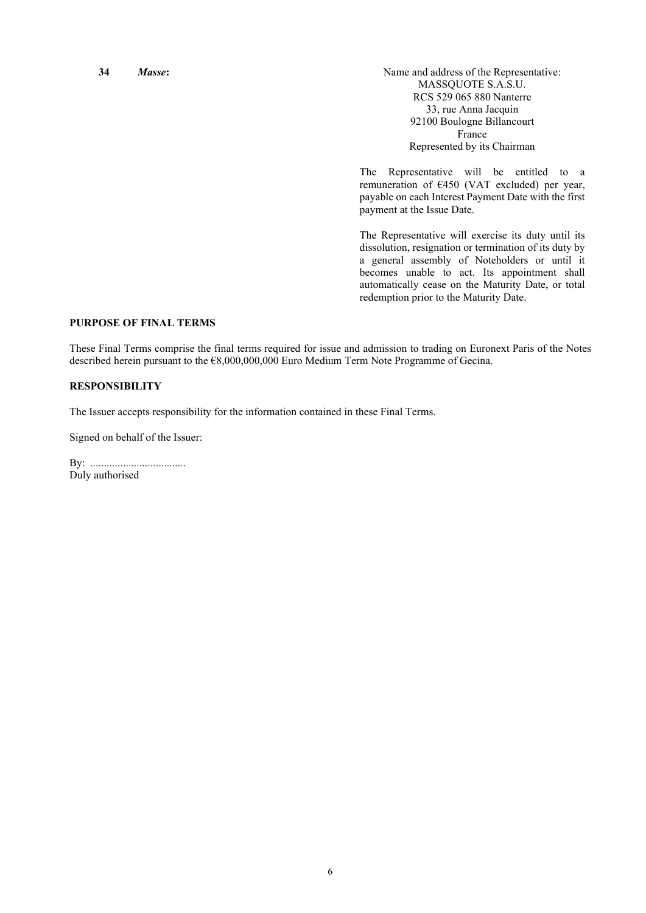**34** *Masse*: Manuel **Masse:** Name and address of the Representative: MASSQUOTE S.A.S.U. RCS 529 065 880 Nanterre 33, rue Anna Jacquin 92100 Boulogne Billancourt France Represented by its Chairman

> The Representative will be entitled to a remuneration of €450 (VAT excluded) per year, payable on each Interest Payment Date with the first payment at the Issue Date.

> The Representative will exercise its duty until its dissolution, resignation or termination of its duty by a general assembly of Noteholders or until it becomes unable to act. Its appointment shall automatically cease on the Maturity Date, or total redemption prior to the Maturity Date.

#### **PURPOSE OF FINAL TERMS**

These Final Terms comprise the final terms required for issue and admission to trading on Euronext Paris of the Notes described herein pursuant to the €8,000,000,000 Euro Medium Term Note Programme of Gecina.

#### **RESPONSIBILITY**

The Issuer accepts responsibility for the information contained in these Final Terms.

Signed on behalf of the Issuer:

By: ................................... Duly authorised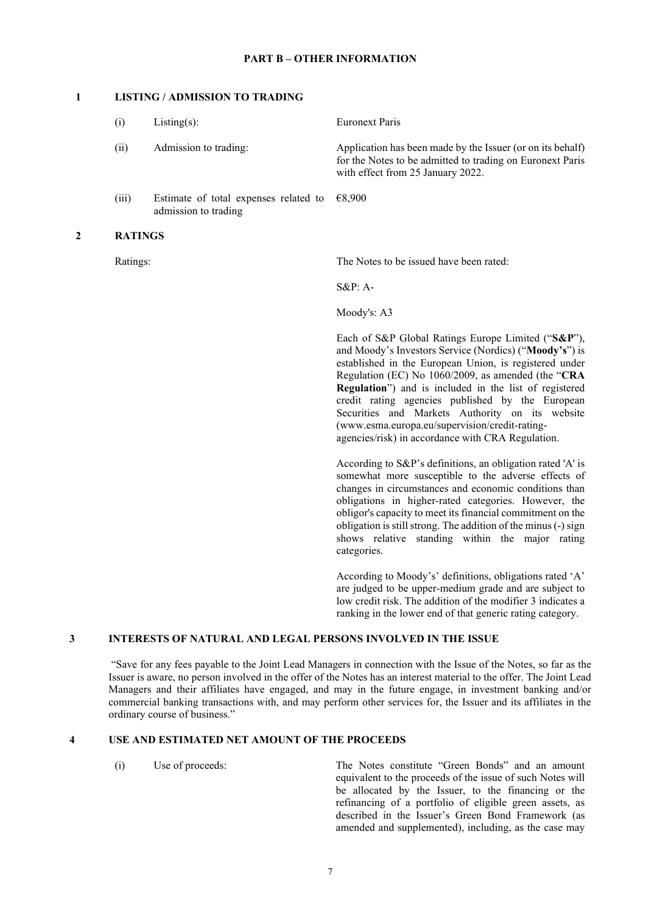# **PART B – OTHER INFORMATION**

#### **1 LISTING / ADMISSION TO TRADING**

|   | (i)            | $Listing(s)$ :                                                | <b>Euronext Paris</b>                                                                                                                                                                                                                                                                                                                                                                                                                                                                                |
|---|----------------|---------------------------------------------------------------|------------------------------------------------------------------------------------------------------------------------------------------------------------------------------------------------------------------------------------------------------------------------------------------------------------------------------------------------------------------------------------------------------------------------------------------------------------------------------------------------------|
|   | (ii)           | Admission to trading:                                         | Application has been made by the Issuer (or on its behalf)<br>for the Notes to be admitted to trading on Euronext Paris<br>with effect from 25 January 2022.                                                                                                                                                                                                                                                                                                                                         |
|   | (iii)          | Estimate of total expenses related to<br>admission to trading | €8,900                                                                                                                                                                                                                                                                                                                                                                                                                                                                                               |
| 2 | <b>RATINGS</b> |                                                               |                                                                                                                                                                                                                                                                                                                                                                                                                                                                                                      |
|   | Ratings:       |                                                               | The Notes to be issued have been rated:                                                                                                                                                                                                                                                                                                                                                                                                                                                              |
|   |                |                                                               | $S\&P: A-$                                                                                                                                                                                                                                                                                                                                                                                                                                                                                           |
|   |                |                                                               | Moody's: A3                                                                                                                                                                                                                                                                                                                                                                                                                                                                                          |
|   |                |                                                               | Each of S&P Global Ratings Europe Limited ("S&P"),<br>and Moody's Investors Service (Nordics) ("Moody's") is<br>established in the European Union, is registered under<br>Regulation (EC) No 1060/2009, as amended (the "CRA<br>Regulation") and is included in the list of registered<br>credit rating agencies published by the European<br>Securities and Markets Authority on its website<br>(www.esma.europa.eu/supervision/credit-rating-<br>agencies/risk) in accordance with CRA Regulation. |
|   |                |                                                               | According to S&P's definitions, an obligation rated 'A' is<br>somewhat more susceptible to the adverse effects of<br>changes in circumstances and economic conditions than<br>obligations in higher-rated categories. However, the<br>obligor's capacity to meet its financial commitment on the<br>obligation is still strong. The addition of the minus (-) sign<br>shows relative standing within the major rating<br>categories.                                                                 |
|   |                |                                                               | According to Moody's' definitions, obligations rated 'A'                                                                                                                                                                                                                                                                                                                                                                                                                                             |

are judged to be upper-medium grade and are subject to low credit risk. The addition of the modifier 3 indicates a ranking in the lower end of that generic rating category.

# **3 INTERESTS OF NATURAL AND LEGAL PERSONS INVOLVED IN THE ISSUE**

"Save for any fees payable to the Joint Lead Managers in connection with the Issue of the Notes, so far as the Issuer is aware, no person involved in the offer of the Notes has an interest material to the offer. The Joint Lead Managers and their affiliates have engaged, and may in the future engage, in investment banking and/or commercial banking transactions with, and may perform other services for, the Issuer and its affiliates in the ordinary course of business."

#### **4 USE AND ESTIMATED NET AMOUNT OF THE PROCEEDS**

(i) Use of proceeds: The Notes constitute "Green Bonds" and an amount equivalent to the proceeds of the issue of such Notes will be allocated by the Issuer, to the financing or the refinancing of a portfolio of eligible green assets, as described in the Issuer's Green Bond Framework (as amended and supplemented), including, as the case may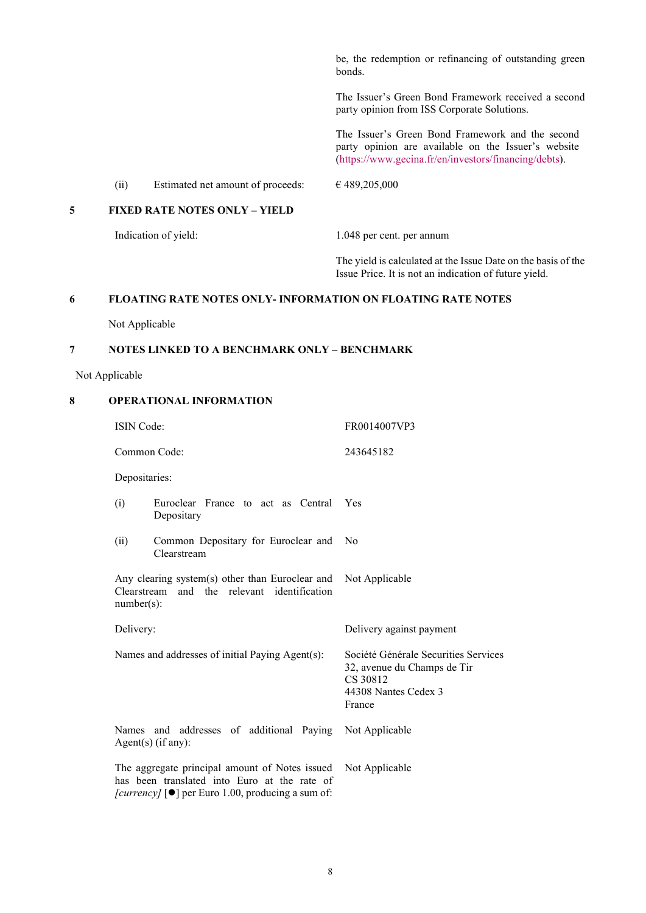be, the redemption or refinancing of outstanding green bonds.

The Issuer's Green Bond Framework received a second party opinion from ISS Corporate Solutions.

The Issuer's Green Bond Framework and the second party opinion are available on the Issuer's website [\(https://www.gecina.fr/en/investors/financing/debts\)](https://www.gecina.fr/en/investors/financing/debts).

(ii) Estimated net amount of proceeds:  $\epsilon$  489,205,000

# **5 FIXED RATE NOTES ONLY – YIELD**

Indication of yield: 1.048 per cent. per annum

The yield is calculated at the Issue Date on the basis of the Issue Price. It is not an indication of future yield.

#### **6 FLOATING RATE NOTES ONLY- INFORMATION ON FLOATING RATE NOTES**

Not Applicable

### **7 NOTES LINKED TO A BENCHMARK ONLY – BENCHMARK**

Not Applicable

# **8 OPERATIONAL INFORMATION**

| <b>ISIN</b> Code:                                                                                                                                                       |                                                    | FR0014007VP3                                                                                                      |
|-------------------------------------------------------------------------------------------------------------------------------------------------------------------------|----------------------------------------------------|-------------------------------------------------------------------------------------------------------------------|
| Common Code:                                                                                                                                                            |                                                    | 243645182                                                                                                         |
| Depositaries:                                                                                                                                                           |                                                    |                                                                                                                   |
| (i)                                                                                                                                                                     | Euroclear France to act as Central<br>Depositary   | Yes                                                                                                               |
| (ii)                                                                                                                                                                    | Common Depositary for Euroclear and<br>Clearstream | No                                                                                                                |
| Any clearing system(s) other than Euroclear and<br>and the relevant identification<br>Clearstream<br>$number(s)$ :                                                      |                                                    | Not Applicable                                                                                                    |
| Delivery:                                                                                                                                                               |                                                    | Delivery against payment                                                                                          |
|                                                                                                                                                                         | Names and addresses of initial Paying Agent(s):    | Société Générale Securities Services<br>32, avenue du Champs de Tir<br>CS 30812<br>44308 Nantes Cedex 3<br>France |
| Names and addresses of additional Paying<br>Agent $(s)$ (if any):                                                                                                       |                                                    | Not Applicable                                                                                                    |
| The aggregate principal amount of Notes issued<br>has been translated into Euro at the rate of<br>[currency] $\lceil \bullet \rceil$ per Euro 1.00, producing a sum of: |                                                    | Not Applicable                                                                                                    |